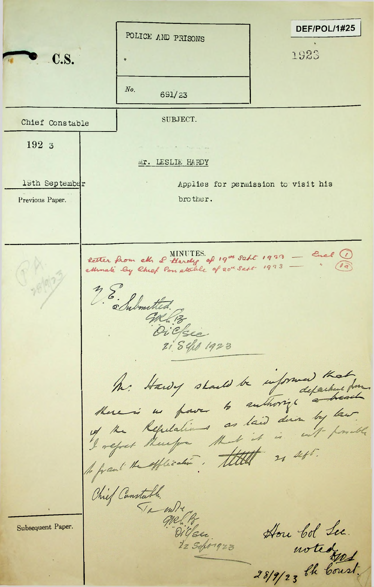DEF/POL/1#25 POLICE AND PRISONS 1923 **C.S.**  $No.$ 691/23 SUBJECT. Chief Constable 192 3 Mr. LESLIE HARDY 19th September Applies for permission to visit his brother. Previous Paper. Retter from ett. & Hardy of 19th sabt 1923 - Euch 19 millet 28. Submitted GRL 13 Oicke 21 Sefeb 1923 h. Hawy should be informed that form Chief Canstable. Ta wire Subsequent Paper. How bol Lee. Diller. notedgos. 22 Sept 1923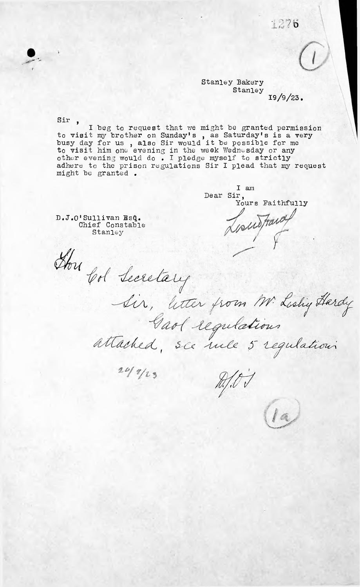1276

19/9/23*.* Stanley Bakery Stanley

Sir ,

I beg to request that we might be granted permission to visit my brother on Sunday'<sup>s</sup> , as Saturday's is a very busy day for us , also Sir would it be possible for me to visit him one evening in the week Wednesday or any other evening would do . I pledge myself to strictly adhere to the prison regulations Sir I plead that my request might be granted •

I am Dear Sir, Yours Faithfully

D.T.0<sup>1</sup> Sullivan Es§. Chief Constable Stanley

Hon Col Lecretary

Gaol regulations  $20/7/23$ 

 $2/07$ 

Sir, litter from M. Lislig Hardy

la,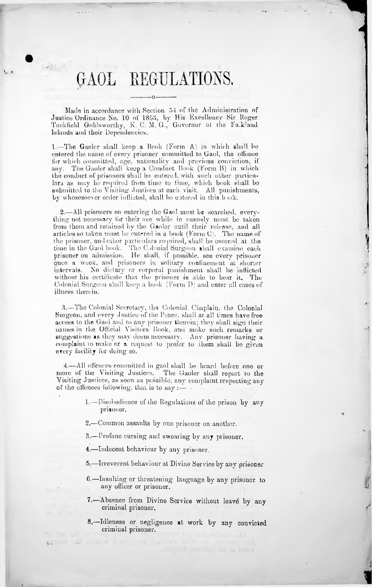# GAOL REGULATIONS,

**0**-------------

 $-0-$ 

**V \***

> Made in accordance with Section 54 of the Administration of Justice Ordinance No. 10 of 1853, by His Excellency Sir Roger Tuckfield Goldsworthy, K. C. M. G., Governor ol the Fa.kland Islands and their Dependencies.

> 1. —The Gaoler shall keep a Book (Form A) in which shall be entered the name of every prisoner committed to Gaol, the offence for which committed, age, nationality and previous conviction, if any. The Gaoler shall keep a Conduct Book (Perm B) in which the conduct of prisoners shall be entered, with such other particu lars as may be required from time to time, which book shall bo submitted to the Visiting Justices at each visit. All punishments, by whosesoever order inflicted, shall be entered in this book.

> 2. —All prisoners on entering the Gaol must be searched, every thing not necessary for their use while in custody must be taken from them and retained by the Gaoler until their release, and all articles so taken must be entered in a book (Form C). The name of the prisoner, and oilier particulars required, shall be entered at the time in the Gaol book. The Colonial Surgeon shall examine each prisoner on admission. He shall, if possible, see every prisoner once a week, and prisoners in solitary confinement at shorter intervals. No dietary or corporal punishment shall be indieted without his certificate that the prisoner is able to bear it. The Colonial Surgeon shall keep a book (Form D) and enter all cases of illness therein.

4

1

3. —The Colonial Secretary, the Colonial Chaplain, the Colonial Surgeon, and every Justice of the Peace, shall ar all times have free access to the Gaol and to any prisoner therein; they shall sign their names in the Official Visitors Book, and make such remarks or suggestions as they may deem necessary. Any prisoner having a complaint io make or a request to prefer to them shall be given every facility for doing so.

more of the Visiting Justices. Visiting Justices, as soon as possible, any ' complaint respecting any of the offences following, that is to say :-4. —All offences committed in gaol shall be heard before one or The Gaoler shall report to the

- 1. —Disobedience of the Regulations of the prison by any prisoner.
- 2. —Common assaults by one prisoner on another.

3. —Profane cursing and swearing by any prisoner.

4. —Indecent behaviour by any prisoner.

- 5. —Irreverent behaviour at Divine Service by any prisoner
- 6. —Insulting or threatening language by any prisoner to any officer or prisoner.
- 7.—Absence from Divine Service without leave by any criminal prisoner.
- 8. Idleness or negligence at work by any convicted criminal prisoner.

LES A HONDA MI AU ANTON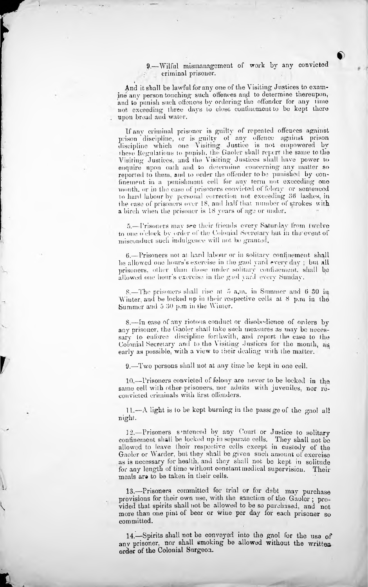#### 9. —Wilful mismanagement of work by any convicted criminal prisoner.

**f)**

And it shall be lawful for any one of the Visiting Justices to exam ine any person touching such offences and to determine thereupon, and to punish such offences by ordering the offender for any lime not exceeding three days to close confinement to be kept there upon bread and water.

**f**

**r**

If any criminal prisoner is guilty of repeated offences against prison "discipline, or is guilty of any offence against prison discipline which one Visiting. Justice is not empowered by these Regulations to punish, the Gaoler shall report lhe same to the Visiting Justices, and the Visiting Justices shall have power to enquire upon oath and to determine concerning any matter so reported to them, and to order the offender to be punished by con finement in a punishment cell for any term not; exceeding one month, or in the case of prisoners convicted of felony or sentenced to hard labour bv personal correction not exceeding 36 lashes, in the case of prisoners over 18, and half that number of strokes with a birch when the prisoner is 18 years of age or under.

5.-Trisoners may see their friends every Saturday from twelve to one o 'clock bv order of the Colonial Secretary but in the 'event of misconduct such indulgence will not. be granted.

allowed one hour's exercise in the gaol yard every Sunday. 6. —Prisoners not at hard labour or in solitary confinement shall be allowed one hours ' s exercise in the gaol yard every day ; but all prisoners, other than those under solitary confinement, shall be

8.—The prisoners shall rise at 5 a.m. in Summer and 6 30 in Winter, and be locked up in their respective cells at 8 p.m in the Summer and 5 30 p.m in the Wimer.

8. —In ease of any riotous conduct or disobedience of orders by any prisoner, the Gaoler shall take such measures as may be neces sary to enforce discipline forthwith, and report the case to the Colonial Secretary and to the Visiting Justices for the month, as early as possible, with a view to their dealing with the matter.

9. —Two persons shall not at any time be kept in one cell.

10,—Prisoners convicted of felony are never to be locked in the same cell with other prisoners, nor adults with juveniles, nor reconvicted criminals with first offenders.

11. — A light is to be kept burning in the passage of the gaol al! night.

12.—Prisoners sentenced by any Court or Justice to solitary confinement shall be locked up in separate cells. They shall not be allowed to leave their respective cells except in custody of the Gaoler or Warder, but they shall be given such amount of exercise as is necessary for health, and they shall not bo kept in solitude for any length of time without constant medical supervision. Their meals ara to be taken in their cells.

13.—Prisoners committed for trial or for debt may purchase provisions for their own use, with the sanction of the Gaoler; provided that spirits shall not be allowed to be so purchased, and not more than one pint of beer or wine per day for each prisoner so committed.

14. Spirits shall not be conveyed into the gaol for the use of any prisoner, nor shall smoking be allowed without the written order of the Colonial Surgeon.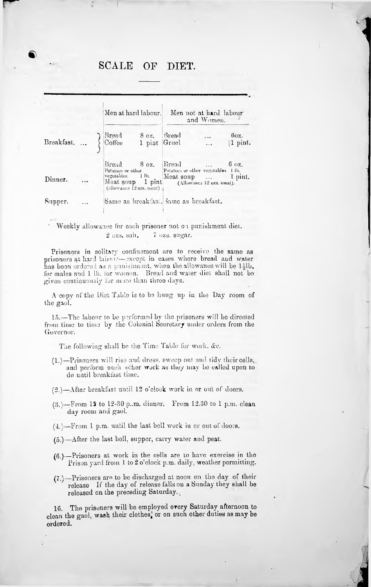## SCALE OF DIET.

I

**1** 

|         |               |  | Men at hard labour.<br>Men not at hard labour<br>and Women.                                                                                                                                             |  |  |  |                                      |
|---------|---------------|--|---------------------------------------------------------------------------------------------------------------------------------------------------------------------------------------------------------|--|--|--|--------------------------------------|
|         |               |  | Breakfast } Bread 8 oz. Bread                                                                                                                                                                           |  |  |  | $60z$ .<br>$\boxed{1 \text{ pint.}}$ |
| Dinner. | $\sim$ $\sim$ |  | Bread 8 oz. Bread  6 oz.<br>Potatoes or other Potatoes or other vegetables + lb.<br>vegetables 1 lb. Meat soup  1 pint.<br>Meat soup 1 pint (Allowance 12 ozs. meat).<br>(allowance 12 ozs. meat) $\pm$ |  |  |  |                                      |
| Supper. |               |  | Same as breakthst. Same as breakfast.                                                                                                                                                                   |  |  |  |                                      |

### Weekly allowance for each prisoner not on punishment diet. 2 ozs. sah. 7 ozs. sugar.

Prisoners in solitary confinement are to receive the same as prisoners at hard labour—except in cases where bread and water has been ordered as a punishment, when the allowance will be  $1\frac{1}{2}$ lb. for males and <sup>1</sup> lb. lor women. Bread and water diet shall not bo given continuously for more than three days.

A copy of the Diet Table is to be hung up in the Day room of the gaol.

15.—The labour to be performed by the prisoners will be directed from time to time by the Colonial Secretary under orders from the Governor.

The following shall be the Time Table for work, &c.

 $(1.)$ —Prisoners will rise and dress, sweep out and tidy their cells, and perform such other work as they may be called upon to do until breakfast time.

(2.)—After breakfast until 12 o'clock work in or out of doors.

- (3.)—From 12 to 12-30 p..m. dinner. From 12.30 to <sup>1</sup> p.m. clean day room and gaol.
- (4.)—From <sup>1</sup> p.m. until the last bell work in or out of doors.
- $(5.)$ —After the last boll, supper, carry water and peat.
- (6.)—Prisoners at work in the cells are to have exercise in the Prison yard from 1 to 2 o'clock p.m. daily, weather permitting.
- $(7.)$ —Prisoners are to be discharged at noon on the day of their release If the day of release falls on a Sunday they shall be released on the preceding Saturday.

16. The prisoners will be employed every Saturday afternoon to clean the gaol, wash their clothes, or on such other duties as may be ordered.